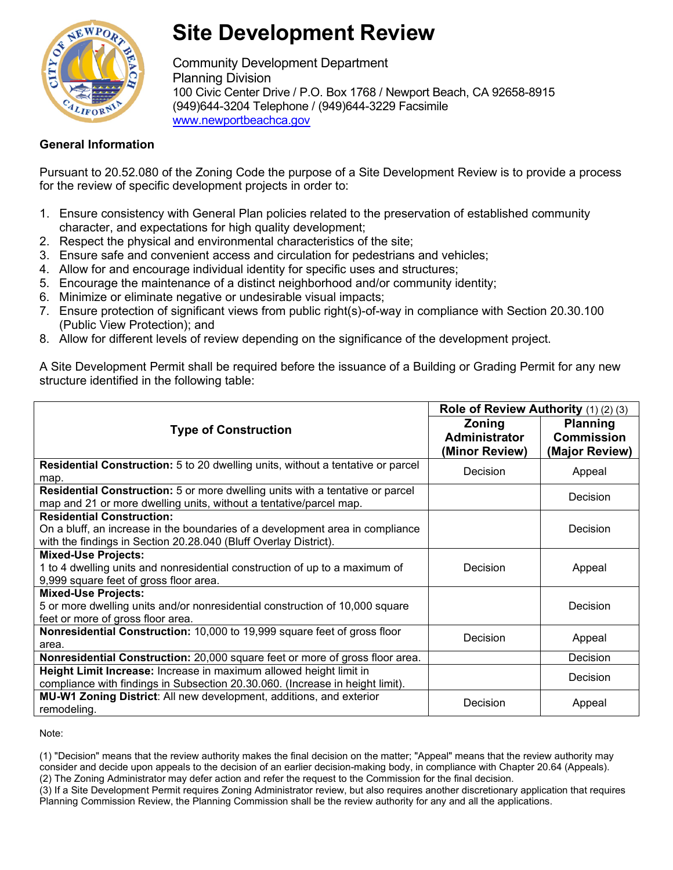

## **Site Development Review**

Community Development Department Planning Division 100 Civic Center Drive / P.O. Box 1768 / Newport Beach, CA 92658-8915 (949)644-3204 Telephone / (949)644-3229 Facsimile [www.newportbeachca.gov](http://www.newportbeachca.gov/)

## **General Information**

Pursuant to 20.52.080 of the Zoning Code the purpose of a Site Development Review is to provide a process for the review of specific development projects in order to:

- 1. Ensure consistency with General Plan policies related to the preservation of established community character, and expectations for high quality development;
- 2. Respect the physical and environmental characteristics of the site;
- 3. Ensure safe and convenient access and circulation for pedestrians and vehicles;
- 4. Allow for and encourage individual identity for specific uses and structures;
- 5. Encourage the maintenance of a distinct neighborhood and/or community identity;
- 6. Minimize or eliminate negative or undesirable visual impacts;
- 7. Ensure protection of significant views from public right(s)-of-way in compliance with Section 20.30.100 (Public View Protection); and
- 8. Allow for different levels of review depending on the significance of the development project.

A Site Development Permit shall be required before the issuance of a Building or Grading Permit for any new structure identified in the following table:

|                                                                                                                                                            | Role of Review Authority (1) (2) (3)  |                                      |
|------------------------------------------------------------------------------------------------------------------------------------------------------------|---------------------------------------|--------------------------------------|
| <b>Type of Construction</b>                                                                                                                                | <b>Zoning</b><br><b>Administrator</b> | <b>Planning</b><br><b>Commission</b> |
|                                                                                                                                                            | (Minor Review)                        | (Major Review)                       |
| <b>Residential Construction:</b> 5 to 20 dwelling units, without a tentative or parcel<br>map.                                                             | Decision                              | Appeal                               |
| <b>Residential Construction:</b> 5 or more dwelling units with a tentative or parcel<br>map and 21 or more dwelling units, without a tentative/parcel map. |                                       | Decision                             |
| <b>Residential Construction:</b>                                                                                                                           |                                       |                                      |
| On a bluff, an increase in the boundaries of a development area in compliance                                                                              |                                       | Decision                             |
| with the findings in Section 20.28.040 (Bluff Overlay District).                                                                                           |                                       |                                      |
| <b>Mixed-Use Projects:</b>                                                                                                                                 |                                       |                                      |
| 1 to 4 dwelling units and nonresidential construction of up to a maximum of                                                                                | Decision                              | Appeal                               |
| 9,999 square feet of gross floor area.                                                                                                                     |                                       |                                      |
| <b>Mixed-Use Projects:</b>                                                                                                                                 |                                       |                                      |
| 5 or more dwelling units and/or nonresidential construction of 10,000 square                                                                               |                                       | Decision                             |
| feet or more of gross floor area.                                                                                                                          |                                       |                                      |
| Nonresidential Construction: 10,000 to 19,999 square feet of gross floor                                                                                   | Decision                              | Appeal                               |
| area.                                                                                                                                                      |                                       |                                      |
| Nonresidential Construction: 20,000 square feet or more of gross floor area.                                                                               |                                       | Decision                             |
| Height Limit Increase: Increase in maximum allowed height limit in                                                                                         |                                       | Decision                             |
| compliance with findings in Subsection 20.30.060. (Increase in height limit).                                                                              |                                       |                                      |
| MU-W1 Zoning District: All new development, additions, and exterior                                                                                        | Decision                              | Appeal                               |
| remodeling.                                                                                                                                                |                                       |                                      |

Note:

(1) "Decision" means that the review authority makes the final decision on the matter; "Appeal" means that the review authority may consider and decide upon appeals to the decision of an earlier decision-making body, in compliance with Chapter 20.64 (Appeals). (2) The Zoning Administrator may defer action and refer the request to the Commission for the final decision.

(3) If a Site Development Permit requires Zoning Administrator review, but also requires another discretionary application that requires

Planning Commission Review, the Planning Commission shall be the review authority for any and all the applications.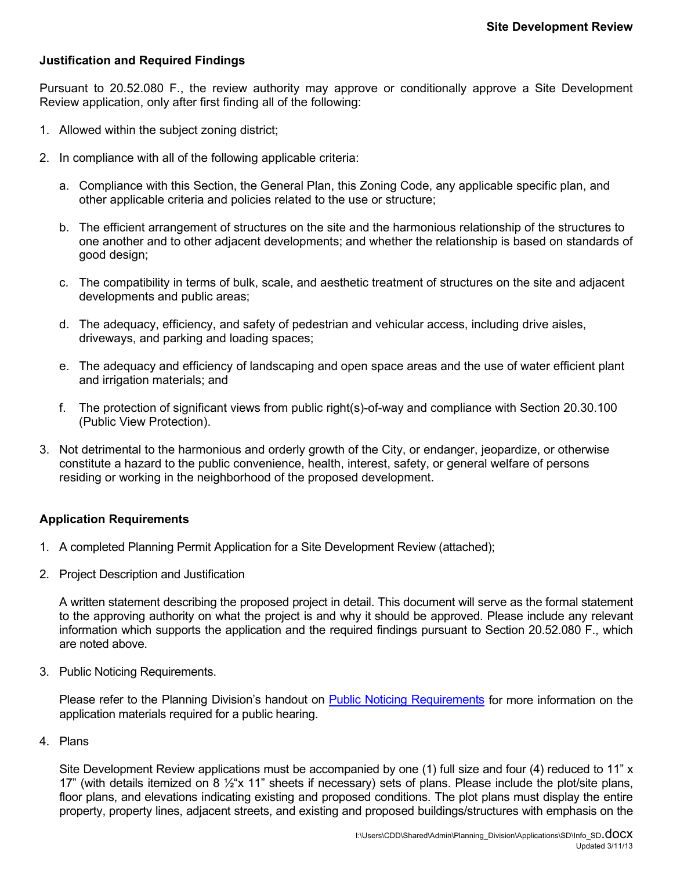## **Justification and Required Findings**

Pursuant to 20.52.080 F., the review authority may approve or conditionally approve a Site Development Review application, only after first finding all of the following:

- 1. Allowed within the subject zoning district;
- 2. In compliance with all of the following applicable criteria:
	- a. Compliance with this Section, the General Plan, this Zoning Code, any applicable specific plan, and other applicable criteria and policies related to the use or structure;
	- b. The efficient arrangement of structures on the site and the harmonious relationship of the structures to one another and to other adjacent developments; and whether the relationship is based on standards of good design;
	- c. The compatibility in terms of bulk, scale, and aesthetic treatment of structures on the site and adjacent developments and public areas;
	- d. The adequacy, efficiency, and safety of pedestrian and vehicular access, including drive aisles, driveways, and parking and loading spaces;
	- e. The adequacy and efficiency of landscaping and open space areas and the use of water efficient plant and irrigation materials; and
	- f. The protection of significant views from public right(s)-of-way and compliance with Section 20.30.100 (Public View Protection).
- 3. Not detrimental to the harmonious and orderly growth of the City, or endanger, jeopardize, or otherwise constitute a hazard to the public convenience, health, interest, safety, or general welfare of persons residing or working in the neighborhood of the proposed development.

## **Application Requirements**

- 1. A completed Planning Permit Application for a Site Development Review (attached);
- 2. Project Description and Justification

A written statement describing the proposed project in detail. This document will serve as the formal statement to the approving authority on what the project is and why it should be approved. Please include any relevant information which supports the application and the required findings pursuant to Section 20.52.080 F., which are noted above.

3. Public Noticing Requirements.

Please refer to the Planning Division's handout on [Public Noticing Requirements](http://www.newportbeachca.gov/Modules/ShowDocument.aspx?documentid=10041) for more information on the application materials required for a public hearing.

4. Plans

Site Development Review applications must be accompanied by one (1) full size and four (4) reduced to 11" x 17" (with details itemized on 8  $\frac{1}{2}$ "x 11" sheets if necessary) sets of plans. Please include the plot/site plans, floor plans, and elevations indicating existing and proposed conditions. The plot plans must display the entire property, property lines, adjacent streets, and existing and proposed buildings/structures with emphasis on the